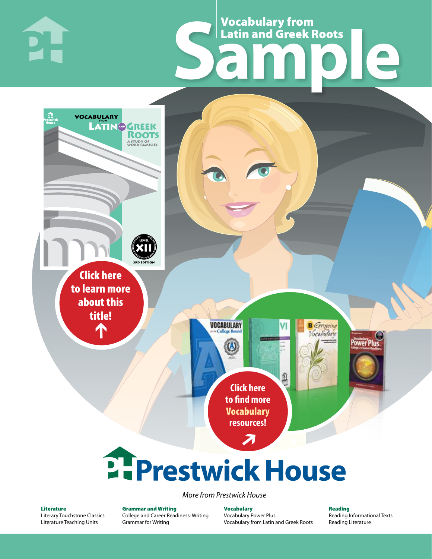Latin and Greek Roots

**Sample Schools** 



*More from Prestwick House*

#### Literature

[Literary Touchstone Classics](https://www.prestwickhouse.com/literary-touchstone-classics) [Literature Teaching Units](https://www.prestwickhouse.com/teaching-units)

Grammar and Writing [College and Career Readiness: Writing](https://www.prestwickhouse.com/college-and-career-readiness-writing) [Grammar for Writing](https://www.prestwickhouse.com/book/id-302639/Grammar_for_Writing_-_30_Books_and_Teachers_Edition)

Vocabulary [Vocabulary Power Plus](https://www.prestwickhouse.com/vocabulary-power-plus-for-college-and-career-readiness) [Vocabulary from Latin and Greek Roots](https://www.prestwickhouse.com/vocabulary-from-latin-and-greek-roots) Reading [Reading Informational Texts](https://www.prestwickhouse.com/reading-informational-texts) [Reading Literature](https://www.prestwickhouse.com/reading-literature)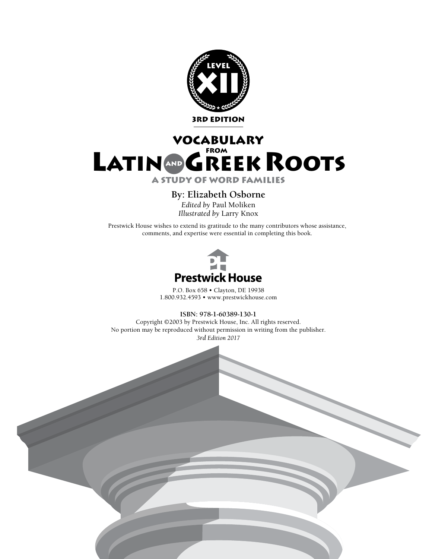

# **VOCABULARY** LATINAND GREEK ROOTS A Study of Word Families

# **By: Elizabeth Osborne**

*Edited by* Paul Moliken *Illustrated by* Larry Knox

Prestwick House wishes to extend its gratitude to the many contributors whose assistance, comments, and expertise were essential in completing this book.



P.O. Box 658 • Clayton, DE 19938 1.800.932.4593 • www.prestwickhouse.com

## **ISBN: 978-1-60389-130-1**

Copyright ©2003 by Prestwick House, Inc. All rights reserved. No portion may be reproduced without permission in writing from the publisher. *3rd Edition 2017*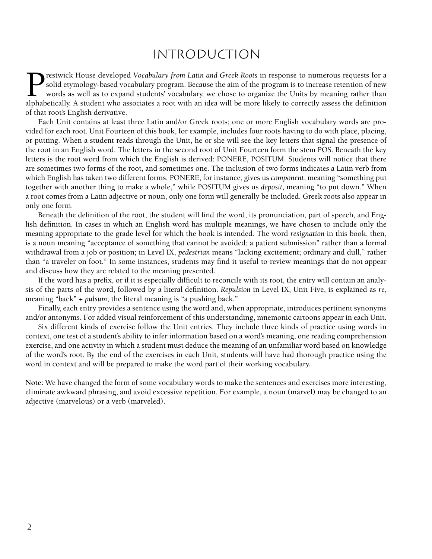# Introduction

restwick House developed *Vocabulary from Latin and Greek Roots* in response to numerous requests for a solid etymology-based vocabulary program. Because the aim of the program is to increase retention of new words as well as to expand students' vocabulary, we chose to organize the Units by meaning rather than alphabetically. A student who associates a root with an idea will be more likely to correctly assess the definition of that root's English derivative.

Each Unit contains at least three Latin and/or Greek roots; one or more English vocabulary words are provided for each root. Unit Fourteen of this book, for example, includes four roots having to do with place, placing, or putting. When a student reads through the Unit, he or she will see the key letters that signal the presence of the root in an English word. The letters in the second root of Unit Fourteen form the stem POS. Beneath the key letters is the root word from which the English is derived: PONERE, POSITUM. Students will notice that there are sometimes two forms of the root, and sometimes one. The inclusion of two forms indicates a Latin verb from which English has taken two different forms. PONERE, for instance, gives us *component*, meaning "something put together with another thing to make a whole," while POSITUM gives us *deposit*, meaning "to put down." When a root comes from a Latin adjective or noun, only one form will generally be included. Greek roots also appear in only one form.

Beneath the definition of the root, the student will find the word, its pronunciation, part of speech, and English definition. In cases in which an English word has multiple meanings, we have chosen to include only the meaning appropriate to the grade level for which the book is intended. The word *resignation* in this book, then, is a noun meaning "acceptance of something that cannot be avoided; a patient submission" rather than a formal withdrawal from a job or position; in Level IX, *pedestrian* means "lacking excitement; ordinary and dull," rather than "a traveler on foot." In some instances, students may find it useful to review meanings that do not appear and discuss how they are related to the meaning presented.

If the word has a prefix, or if it is especially difficult to reconcile with its root, the entry will contain an analysis of the parts of the word, followed by a literal definition. *Repulsion* in Level IX, Unit Five, is explained as *re*, meaning "back" + *pulsum*; the literal meaning is "a pushing back."

Finally, each entry provides a sentence using the word and, when appropriate, introduces pertinent synonyms and/or antonyms. For added visual reinforcement of this understanding, mnemonic cartoons appear in each Unit.

Six different kinds of exercise follow the Unit entries. They include three kinds of practice using words in context, one test of a student's ability to infer information based on a word's meaning, one reading comprehension exercise, and one activity in which a student must deduce the meaning of an unfamiliar word based on knowledge of the word's root. By the end of the exercises in each Unit, students will have had thorough practice using the word in context and will be prepared to make the word part of their working vocabulary.

**Note:** We have changed the form of some vocabulary words to make the sentences and exercises more interesting, eliminate awkward phrasing, and avoid excessive repetition. For example, a noun (marvel) may be changed to an adjective (marvelous) or a verb (marveled).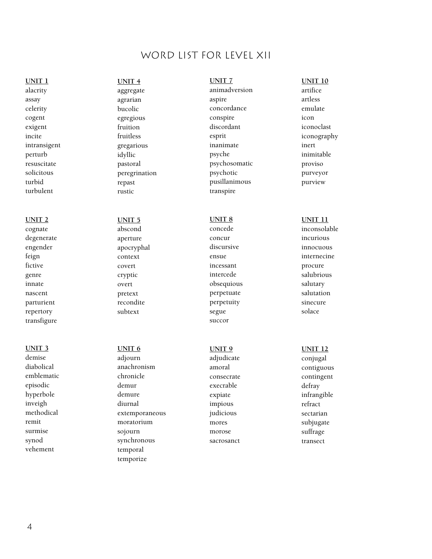# WORD LIST FOR LEVEL XII

### **UNIT 1**

alacrity assay celerity cogent exigent incite intransigent perturb resuscitate solicitous turbid turbulent

### **UNIT 2**

cognate degenerate engender feign fictive genre innate nascent parturient repertory transfigure

#### **UNIT 3**

demise diabolical emblematic episodic hyperbole inveigh methodical remit surmise synod vehement

# **UNIT 4**

aggregate agrarian bucolic egregious fruition fruitless gregarious idyllic pastoral peregrination repast rustic

#### **UNIT 5** abscond

aperture apocryphal context covert cryptic overt pretext recondite subtext

### **UNIT 6** adjourn

anachronism chronicle demur demure diurnal extemporaneous moratorium sojourn synchronous temporal temporize

# **UNIT 7**

animadversion aspire concordance conspire discordant esprit inanimate psyche psychosomatic psychotic pusillanimous transpire

### **UNIT 8**

concede concur discursive ensue incessant intercede obsequious perpetuate perpetuity segue succor

## **UNIT 9**

adjudicate amoral consecrate execrable expiate impious judicious mores morose sacrosanct

### **UNIT 10**

artifice artless emulate icon iconoclast iconography inert inimitable proviso purveyor purview

#### **UNIT 11**

inconsolable incurious innocuous internecine procure salubrious salutary salutation sinecure solace

### **UNIT 12**

conjugal contiguous contingent defray infrangible refract sectarian subjugate suffrage transect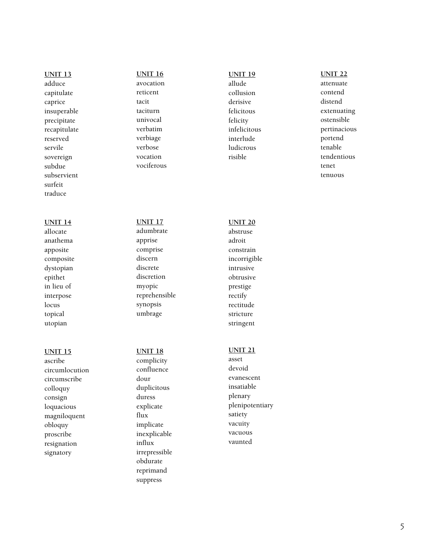### **UNIT 13**

adduce capitulate caprice insuperable precipitate recapitulate reserved servile sovereign subdue subservient surfeit traduce

# **UNIT 16**

avocation reticent tacit taciturn univocal verbatim verbiage verbose vocation vociferous

## **UNIT 19**

allude collusion derisive felicitous felicity infelicitous interlude ludicrous risible

# **UNIT 22**

attenuate contend distend extenuating ostensible pertinacious portend tenable tendentious tenet tenuous

#### **UNIT 14**

allocate anathema apposite composite dystopian epithet in lieu of interpose locus topical utopian

#### **UNIT 15**

ascribe circumlocution circumscribe colloquy consign loquacious magniloquent obloquy proscribe resignation signatory

# **UNIT 17**

adumbrate apprise comprise discern discrete discretion myopic reprehensible synopsis umbrage

#### **UNIT 18**

complicity confluence dour duplicitous duress explicate flux implicate inexplicable influx irrepressible obdurate reprimand suppress

# **UNIT 20**

abstruse adroit constrain incorrigible intrusive obtrusive prestige rectify rectitude stricture stringent

#### **UNIT 21**

asset devoid evanescent insatiable plenary plenipotentiary satiety vacuity vacuous vaunted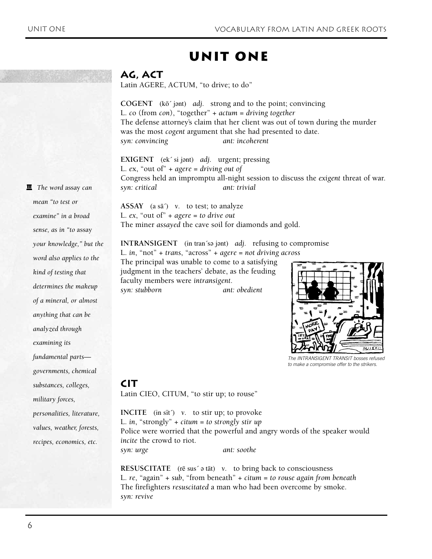# UNIT ONE

# **AG, ACT**

Latin AGERE, ACTUM, "to drive; to do"

**COGENT** (kō' jənt) *adj.* strong and to the point; convincing L. *c*o (from *con*), "together" + *actum* = *driving together* The defense attorney's claim that her client was out of town during the murder was the most *cogent* argument that she had presented to date. *syn: convincing ant: incoherent*

EXIGENT (ek´ si jant) *adj*. urgent; pressing L. *e*x, "out of" + *agere* = *driving out of* Congress held an impromptu all-night session to discuss the *exigent* threat of war. *syn: critical ant: trivial*

**ASSAY** (a  $s\bar{a}$ ) *v*. to test; to analyze L. *ex*, "out of" + *agere* = *to drive out* The miner *assayed* the cave soil for diamonds and gold.

**INTRANSIGENT** (in tran's a jant) *adj*. refusing to compromise

L. *in*, "not" + *trans*, "across" + *agere* = *not driving across* The principal was unable to come to a satisfying judgment in the teachers' debate, as the feuding faculty members were *intransigent*.

*syn: stubborn ant: obedient*



*The INTRANSIGENT TRANSIT bosses refused to make a compromise offer to the strikers.*

## **CIT**

Latin CIEO, CITUM, "to stir up; to rouse"

**INCITE** (in  $\sin^2 y$ ) v. to stir up; to provoke L. *in*, "strongly" + *citum* = *to strongly stir up* Police were worried that the powerful and angry words of the speaker would *incite* the crowd to riot. *syn: urge ant: soothe*

**RESUSCITATE** (rē sus´ ə tāt) v. to bring back to consciousness L. *re*, "again" + *sub*, "from beneath" + *citum* = *to rouse again from beneath* The firefighters *resuscitated* a man who had been overcome by smoke. *syn: revive*

*The word* assay *can mean "to test or examine" in a broad sense, as in "to* assay *your knowledge," but the word also applies to the kind of testing that determines the makeup of a mineral, or almost anything that can be analyzed through examining its fundamental parts governments, chemical substances, colleges, military forces, personalities, literature, values, weather, forests, recipes, economics, etc.*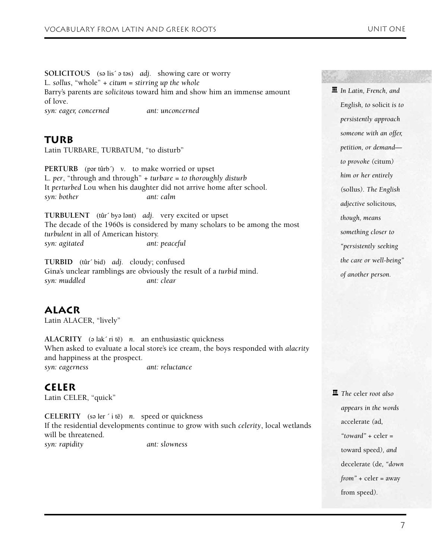**SOLICITOUS** (sa lis' a tas) *adj.* showing care or worry L. *sollus*, "whole" + *citum* = *stirring up the whole* Barry's parents are *solicitous* toward him and show him an immense amount of love. *syn: eager, concerned ant: unconcerned*

# **TURB**

Latin TURBARE, TURBATUM, "to disturb"

**PERTURB** (pçr tûrb´) *v.* to make worried or upset L. *per*, "through and through" + *turbare* = *to thoroughly disturb* It *perturbed* Lou when his daughter did not arrive home after school. *syn: bother ant: calm*

**TURBULENT** (tûr' by al ant) *adj.* very excited or upset The decade of the 1960s is considered by many scholars to be among the most *turbulent* in all of American history. *syn: agitated ant: peaceful*

**TURBID** (tûr´ bid) *adj.* cloudy; confused Gina's unclear ramblings are obviously the result of a *turbid* mind. *syn: muddled ant: clear*

**ALACR** Latin ALACER, "lively"

**ALACRITY** (ç lak´ ri t£) *n.* an enthusiastic quickness When asked to evaluate a local store's ice cream, the boys responded with *alacrity* and happiness at the prospect. *syn: eagerness ant: reluctance*

# **CELER**

Latin CELER, "quick"

**CELERITY** (sç ler ´ i t£) *n.* speed or quickness If the residential developments continue to grow with such *celerity*, local wetlands will be threatened. *syn: rapidity ant: slowness*

*In Latin, French, and English, to* solicit *is to persistently approach someone with an offer, petition, or demand to provoke (*citum*) him or her entirely (*sollus*). The English adjective* solicitous*, though, means something closer to "persistently seeking the care or well-being" of another person.*

*The* celer *root also appears in the words*  accelerate *(*ad*, "toward" +* celer *=*  toward speed*), and*  decelerate (de*, "down from" +* celer *=* away from speed*).*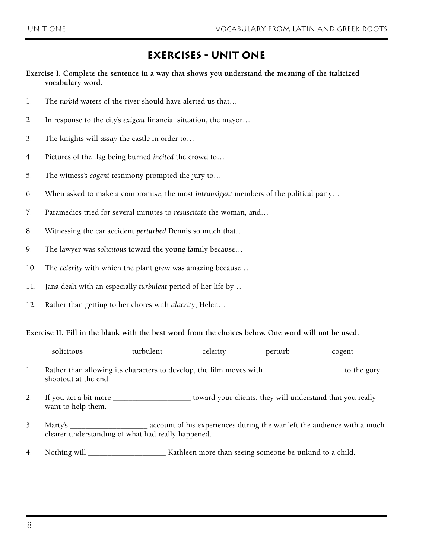### Unit one

# **Exercises - Unit One**

- **Exercise I. Complete the sentence in a way that shows you understand the meaning of the italicized vocabulary word.**
- 1. The *turbid* waters of the river should have alerted us that…
- 2. In response to the city's *exigent* financial situation, the mayor…
- 3. The knights will *assay* the castle in order to…
- 4. Pictures of the flag being burned *incited* the crowd to…
- 5. The witness's *cogent* testimony prompted the jury to…
- 6. When asked to make a compromise, the most *intransigent* members of the political party…
- 7. Paramedics tried for several minutes to *resuscitate* the woman, and…
- 8. Witnessing the car accident *perturbed* Dennis so much that…
- 9. The lawyer was *solicitous* toward the young family because…
- 10. The *celerity* with which the plant grew was amazing because…
- 11. Jana dealt with an especially *turbulent* period of her life by…
- 12. Rather than getting to her chores with *alacrity*, Helen…

# **Exercise II. Fill in the blank with the best word from the choices below. One word will not be used.**

| solicitous                                                                                  | turbulent | celerity                                                  | perturb | cogent      |
|---------------------------------------------------------------------------------------------|-----------|-----------------------------------------------------------|---------|-------------|
| Rather than allowing its characters to develop, the film moves with<br>shootout at the end. |           |                                                           |         | to the gory |
| If you act a bit more<br>want to help them.                                                 |           | toward your clients, they will understand that you really |         |             |

- 3. Marty's \_\_\_\_\_\_\_\_\_\_\_\_\_\_\_\_\_\_\_\_ account of his experiences during the war left the audience with a much clearer understanding of what had really happened.
- 4. Nothing will \_\_\_\_\_\_\_\_\_\_\_\_\_\_\_\_\_\_\_\_ Kathleen more than seeing someone be unkind to a child.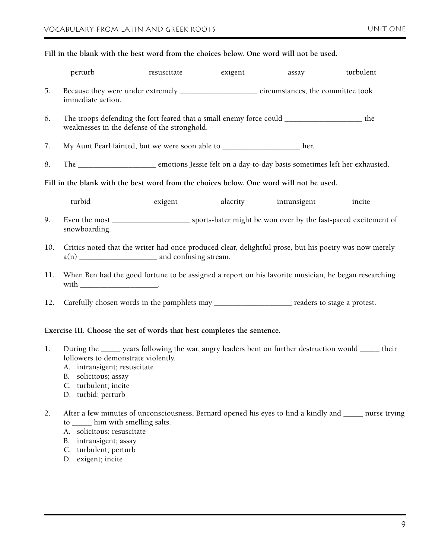## **Fill in the blank with the best word from the choices below. One word will not be used.**

|                                                                                         | perturb                                                                                                                                                                                                                                            | resuscitate | exigent | assay                         | turbulent |  |  |  |
|-----------------------------------------------------------------------------------------|----------------------------------------------------------------------------------------------------------------------------------------------------------------------------------------------------------------------------------------------------|-------------|---------|-------------------------------|-----------|--|--|--|
| 5.                                                                                      | Because they were under extremely ______________________________ circumstances, the committee took<br>immediate action.                                                                                                                            |             |         |                               |           |  |  |  |
| 6.                                                                                      | The troops defending the fort feared that a small enemy force could ____________________ the<br>weaknesses in the defense of the stronghold.                                                                                                       |             |         |                               |           |  |  |  |
| 7.                                                                                      | My Aunt Pearl fainted, but we were soon able to __________________ her.                                                                                                                                                                            |             |         |                               |           |  |  |  |
| 8.                                                                                      |                                                                                                                                                                                                                                                    |             |         |                               |           |  |  |  |
| Fill in the blank with the best word from the choices below. One word will not be used. |                                                                                                                                                                                                                                                    |             |         |                               |           |  |  |  |
|                                                                                         | turbid                                                                                                                                                                                                                                             |             |         | exigent alacrity intransigent | incite    |  |  |  |
| 9.                                                                                      | snowboarding.                                                                                                                                                                                                                                      |             |         |                               |           |  |  |  |
| 10.                                                                                     | Critics noted that the writer had once produced clear, delightful prose, but his poetry was now merely                                                                                                                                             |             |         |                               |           |  |  |  |
| 11.                                                                                     | When Ben had the good fortune to be assigned a report on his favorite musician, he began researching                                                                                                                                               |             |         |                               |           |  |  |  |
| 12.                                                                                     | Carefully chosen words in the pamphlets may _______________________ readers to stage a protest.                                                                                                                                                    |             |         |                               |           |  |  |  |
| Exercise III. Choose the set of words that best completes the sentence.                 |                                                                                                                                                                                                                                                    |             |         |                               |           |  |  |  |
| 1.                                                                                      | During the _____ years following the war, angry leaders bent on further destruction would _____ their<br>followers to demonstrate violently.<br>A. intransigent; resuscitate<br>B. solicitous; assay<br>C. turbulent; incite<br>D. turbid; perturb |             |         |                               |           |  |  |  |
| 2.                                                                                      | After a few minutes of unconsciousness, Bernard opened his eyes to find a kindly and ______ nurse trying<br>to ______ him with smelling salts.                                                                                                     |             |         |                               |           |  |  |  |

- A. solicitous; resuscitate
- B. intransigent; assay
- C. turbulent; perturb
- D. exigent; incite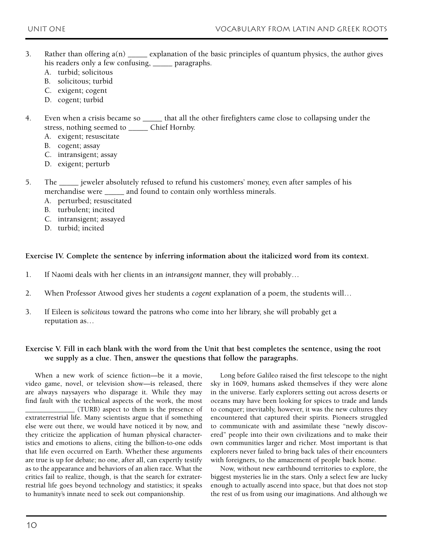- 3. Rather than offering  $a(n)$  explanation of the basic principles of quantum physics, the author gives his readers only a few confusing, same paragraphs.
	- A. turbid; solicitous
	- B. solicitous; turbid
	- C. exigent; cogent
	- D. cogent; turbid
- 4. Even when a crisis became so \_\_\_\_\_ that all the other firefighters came close to collapsing under the stress, nothing seemed to \_\_\_\_\_ Chief Hornby.
	- A. exigent; resuscitate
	- B. cogent; assay
	- C. intransigent; assay
	- D. exigent; perturb
- 5. The \_\_\_\_\_ jeweler absolutely refused to refund his customers' money, even after samples of his merchandise were and found to contain only worthless minerals.
	- A. perturbed; resuscitated
	- B. turbulent; incited
	- C. intransigent; assayed
	- D. turbid; incited

**Exercise IV. Complete the sentence by inferring information about the italicized word from its context.** 

- 1. If Naomi deals with her clients in an *intransigent* manner, they will probably…
- 2. When Professor Atwood gives her students a *cogent* explanation of a poem, the students will…
- 3. If Eileen is *solicitous* toward the patrons who come into her library, she will probably get a reputation as…

## **Exercise V. Fill in each blank with the word from the Unit that best completes the sentence, using the root we supply as a clue. Then, answer the questions that follow the paragraphs.**

When a new work of science fiction—be it a movie, video game, novel, or television show—is released, there are always naysayers who disparage it. While they may find fault with the technical aspects of the work, the most \_\_\_\_\_\_\_\_\_\_\_\_\_\_ (TURB) aspect to them is the presence of extraterrestrial life. Many scientists argue that if something else were out there, we would have noticed it by now, and they criticize the application of human physical characteristics and emotions to aliens, citing the billion-to-one odds that life even occurred on Earth. Whether these arguments are true is up for debate; no one, after all, can expertly testify as to the appearance and behaviors of an alien race. What the critics fail to realize, though, is that the search for extraterrestrial life goes beyond technology and statistics; it speaks to humanity's innate need to seek out companionship.

Long before Galileo raised the first telescope to the night sky in 1609, humans asked themselves if they were alone in the universe. Early explorers setting out across deserts or oceans may have been looking for spices to trade and lands to conquer; inevitably, however, it was the new cultures they encountered that captured their spirits. Pioneers struggled to communicate with and assimilate these "newly discovered" people into their own civilizations and to make their own communities larger and richer. Most important is that explorers never failed to bring back tales of their encounters with foreigners, to the amazement of people back home.

Now, without new earthbound territories to explore, the biggest mysteries lie in the stars. Only a select few are lucky enough to actually ascend into space, but that does not stop the rest of us from using our imaginations. And although we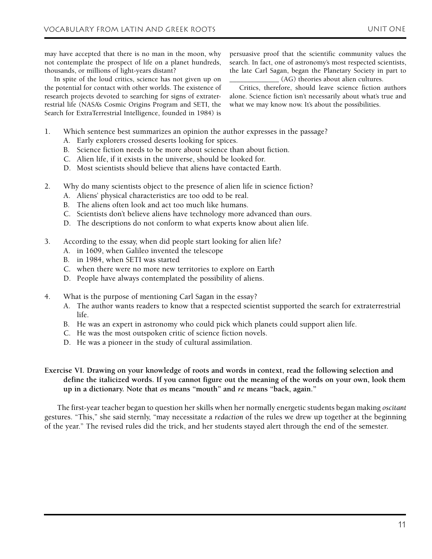may have accepted that there is no man in the moon, why not contemplate the prospect of life on a planet hundreds, thousands, or millions of light-years distant?

In spite of the loud critics, science has not given up on the potential for contact with other worlds. The existence of research projects devoted to searching for signs of extraterrestrial life (NASA's Cosmic Origins Program and SETI, the Search for ExtraTerrestrial Intelligence, founded in 1984) is

persuasive proof that the scientific community values the search. In fact, one of astronomy's most respected scientists, the late Carl Sagan, began the Planetary Society in part to

\_\_\_\_\_\_\_\_\_\_\_\_\_\_ (AG) theories about alien cultures. Critics, therefore, should leave science fiction authors alone. Science fiction isn't necessarily about what's true and what we may know now. It's about the possibilities.

- 1. Which sentence best summarizes an opinion the author expresses in the passage?
	- A. Early explorers crossed deserts looking for spices.
	- B. Science fiction needs to be more about science than about fiction.
	- C. Alien life, if it exists in the universe, should be looked for.
	- D. Most scientists should believe that aliens have contacted Earth.
- 2. Why do many scientists object to the presence of alien life in science fiction?
	- A. Aliens' physical characteristics are too odd to be real.
	- B. The aliens often look and act too much like humans.
	- C. Scientists don't believe aliens have technology more advanced than ours.
	- D. The descriptions do not conform to what experts know about alien life.
- 3. According to the essay, when did people start looking for alien life?
	- A. in 1609, when Galileo invented the telescope
	- B. in 1984, when SETI was started
	- C. when there were no more new territories to explore on Earth
	- D. People have always contemplated the possibility of aliens.
- 4. What is the purpose of mentioning Carl Sagan in the essay?
	- A. The author wants readers to know that a respected scientist supported the search for extraterrestrial life.
	- B. He was an expert in astronomy who could pick which planets could support alien life.
	- C. He was the most outspoken critic of science fiction novels.
	- D. He was a pioneer in the study of cultural assimilation.
- **Exercise VI. Drawing on your knowledge of roots and words in context, read the following selection and define the italicized words. If you cannot figure out the meaning of the words on your own, look them up in a dictionary. Note that** *os* **means "mouth" and** *re* **means "back, again."**

The first-year teacher began to question her skills when her normally energetic students began making *oscitant* gestures. "This," she said sternly, "may necessitate a *redaction* of the rules we drew up together at the beginning of the year." The revised rules did the trick, and her students stayed alert through the end of the semester.